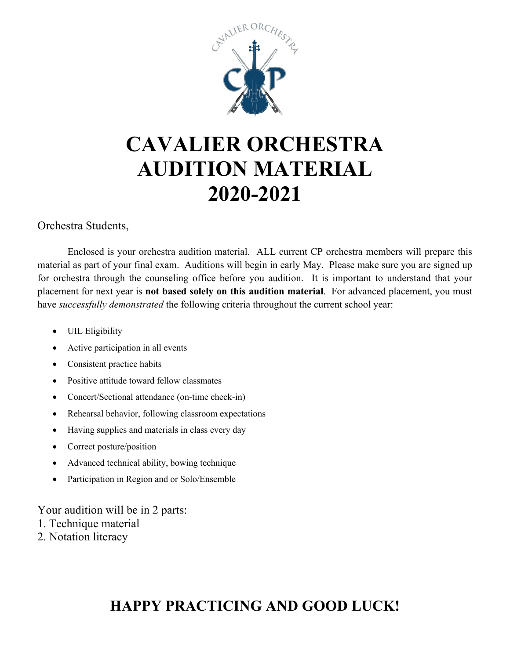

# **CAVALIER ORCHESTRA AUDITION MATERIAL 2020-2021**

#### Orchestra Students,

Enclosed is your orchestra audition material. ALL current CP orchestra members will prepare this material as part of your final exam. Auditions will begin in early May. Please make sure you are signed up for orchestra through the counseling office before you audition. It is important to understand that your placement for next year is **not based solely on this audition material**. For advanced placement, you must have *successfully demonstrated* the following criteria throughout the current school year:

- UIL Eligibility
- Active participation in all events
- Consistent practice habits
- Positive attitude toward fellow classmates
- Concert/Sectional attendance (on-time check-in)
- Rehearsal behavior, following classroom expectations
- Having supplies and materials in class every day
- Correct posture/position
- Advanced technical ability, bowing technique
- Participation in Region and or Solo/Ensemble

Your audition will be in 2 parts:

- 1. Technique material
- 2. Notation literacy

# **HAPPY PRACTICING AND GOOD LUCK!**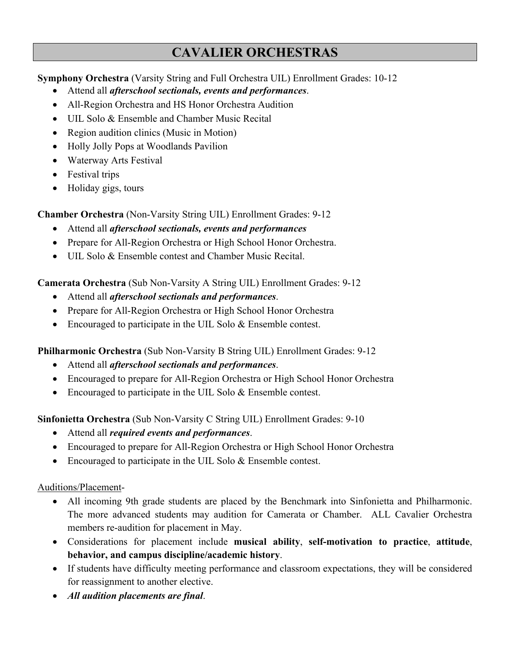### **CAVALIER ORCHESTRAS**

#### **Symphony Orchestra** (Varsity String and Full Orchestra UIL) Enrollment Grades: 10-12

- Attend all *afterschool sectionals, events and performances*.
- All-Region Orchestra and HS Honor Orchestra Audition
- UIL Solo & Ensemble and Chamber Music Recital
- Region audition clinics (Music in Motion)
- Holly Jolly Pops at Woodlands Pavilion
- Waterway Arts Festival
- Festival trips
- Holiday gigs, tours

**Chamber Orchestra** (Non-Varsity String UIL) Enrollment Grades: 9-12

- Attend all *afterschool sectionals, events and performances*
- Prepare for All-Region Orchestra or High School Honor Orchestra.
- UIL Solo & Ensemble contest and Chamber Music Recital.

**Camerata Orchestra** (Sub Non-Varsity A String UIL) Enrollment Grades: 9-12

- Attend all *afterschool sectionals and performances*.
- Prepare for All-Region Orchestra or High School Honor Orchestra
- Encouraged to participate in the UIL Solo & Ensemble contest.

**Philharmonic Orchestra** (Sub Non-Varsity B String UIL) Enrollment Grades: 9-12

- Attend all *afterschool sectionals and performances*.
- Encouraged to prepare for All-Region Orchestra or High School Honor Orchestra
- Encouraged to participate in the UIL Solo & Ensemble contest.

**Sinfonietta Orchestra** (Sub Non-Varsity C String UIL) Enrollment Grades: 9-10

- Attend all *required events and performances*.
- Encouraged to prepare for All-Region Orchestra or High School Honor Orchestra
- Encouraged to participate in the UIL Solo & Ensemble contest.

#### Auditions/Placement-

- All incoming 9th grade students are placed by the Benchmark into Sinfonietta and Philharmonic. The more advanced students may audition for Camerata or Chamber. ALL Cavalier Orchestra members re-audition for placement in May.
- Considerations for placement include **musical ability**, **self-motivation to practice**, **attitude**, **behavior, and campus discipline/academic history**.
- If students have difficulty meeting performance and classroom expectations, they will be considered for reassignment to another elective.
- *All audition placements are final*.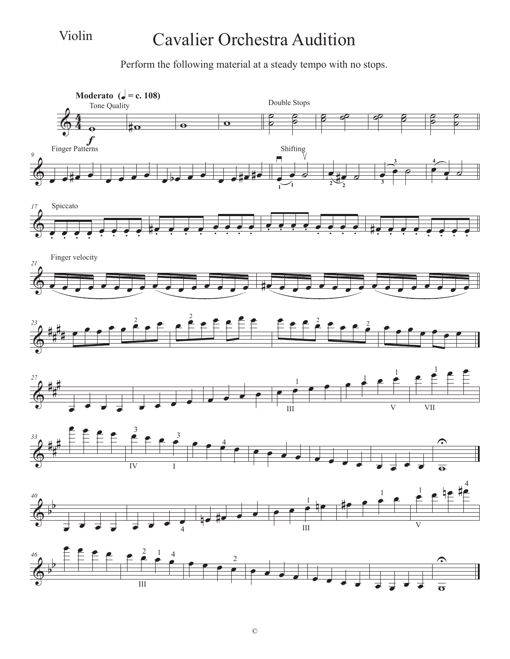Violin

### Cavalier Orchestra Audition

Perform the following material at a steady tempo with no stops.

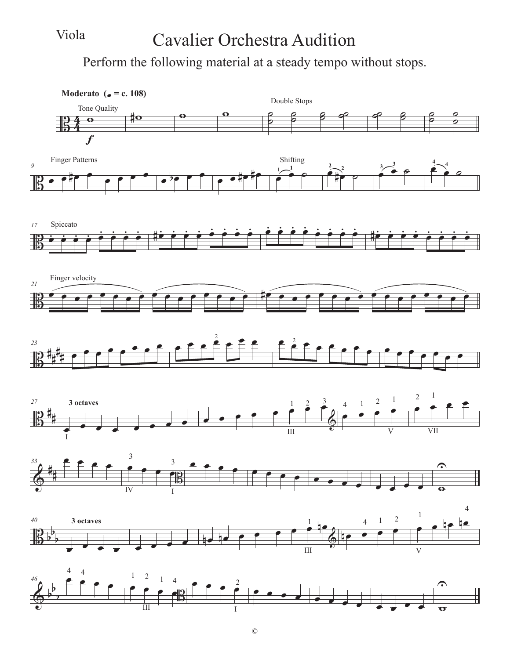#### Viola

### Cavalier Orchestra Audition

Perform the following material at a steady tempo without stops.

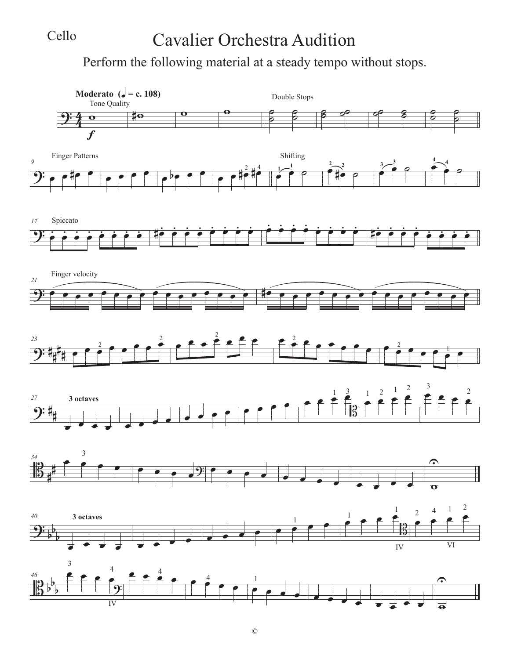#### Cello

# Cavalier Orchestra Audition

Perform the following material at a steady tempo without stops.